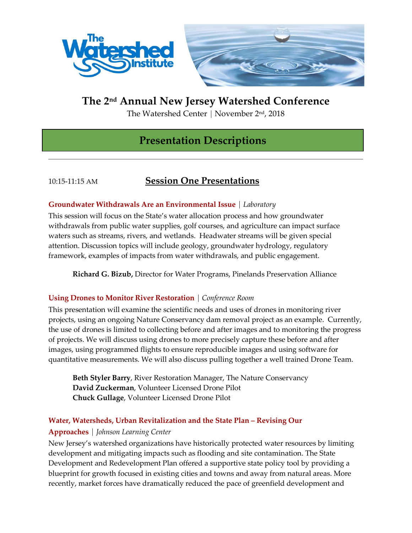

# **The 2nd Annual New Jersey Watershed Conference**

The Watershed Center | November  $2<sup>nd</sup>$ , 2018

# **Presentation Descriptions**

# 10:15-11:15 AM **Session One Presentations**

### **Groundwater Withdrawals Are an Environmental Issue** | Laboratory

This session will focus on the State's water allocation process and how groundwater withdrawals from public water supplies, golf courses, and agriculture can impact surface waters such as streams, rivers, and wetlands. Headwater streams will be given special attention. Discussion topics will include geology, groundwater hydrology, regulatory framework, examples of impacts from water withdrawals, and public engagement.

**Richard G. Bizub,** Director for Water Programs, Pinelands Preservation Alliance

#### **Using Drones to Monitor River Restoration** | Conference Room

This presentation will examine the scientific needs and uses of drones in monitoring river projects, using an ongoing Nature Conservancy dam removal project as an example. Currently, the use of drones is limited to collecting before and after images and to monitoring the progress of projects. We will discuss using drones to more precisely capture these before and after images, using programmed flights to ensure reproducible images and using software for quantitative measurements. We will also discuss pulling together a well trained Drone Team.

**Beth Styler Barry**, River Restoration Manager, The Nature Conservancy **David Zuckerman**, Volunteer Licensed Drone Pilot **Chuck Gullage**, Volunteer Licensed Drone Pilot

#### **Water, Watersheds, Urban Revitalization and the State Plan – Revising Our**

#### **Approaches** ⎸*Johnson Learning Center*

New Jersey's watershed organizations have historically protected water resources by limiting development and mitigating impacts such as flooding and site contamination. The State Development and Redevelopment Plan offered a supportive state policy tool by providing a blueprint for growth focused in existing cities and towns and away from natural areas. More recently, market forces have dramatically reduced the pace of greenfield development and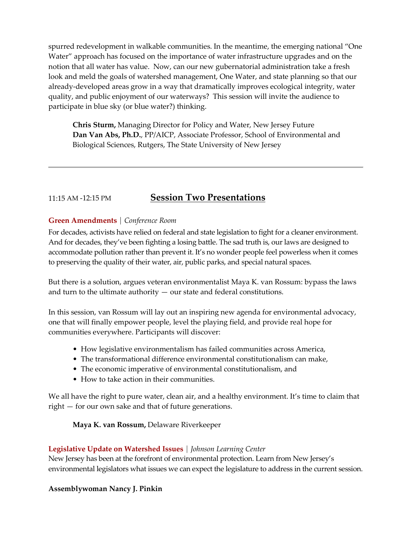spurred redevelopment in walkable communities. In the meantime, the emerging national "One Water" approach has focused on the importance of water infrastructure upgrades and on the notion that all water has value. Now, can our new gubernatorial administration take a fresh look and meld the goals of watershed management, One Water, and state planning so that our already-developed areas grow in a way that dramatically improves ecological integrity, water quality, and public enjoyment of our waterways? This session will invite the audience to participate in blue sky (or blue water?) thinking.

**Chris Sturm,** Managing Director for Policy and Water, New Jersey Future **Dan Van Abs, Ph.D.**, PP/AICP, Associate Professor, School of Environmental and Biological Sciences, Rutgers, The State University of New Jersey

## 11:15 AM -12:15 PM **Session Two Presentations**

### **Green Amendments** ⎸*Conference Room*

For decades, activists have relied on federal and state legislation to fight for a cleaner environment. And for decades, they've been fighting a losing battle. The sad truth is, our laws are designed to accommodate pollution rather than prevent it. It's no wonder people feel powerless when it comes to preserving the quality of their water, air, public parks, and special natural spaces.

But there is a solution, argues veteran environmentalist Maya K. van Rossum: bypass the laws and turn to the ultimate authority  $-$  our state and federal constitutions.

In this session, van Rossum will lay out an inspiring new agenda for environmental advocacy, one that will finally empower people, level the playing field, and provide real hope for communities everywhere. Participants will discover:

- How legislative environmentalism has failed communities across America,
- The transformational difference environmental constitutionalism can make,
- The economic imperative of environmental constitutionalism, and
- How to take action in their communities.

We all have the right to pure water, clean air, and a healthy environment. It's time to claim that right — for our own sake and that of future generations.

#### **Maya K. van Rossum,** Delaware Riverkeeper

#### **Legislative Update on Watershed Issues** | *Johnson Learning Center*

New Jersey has been at the forefront of environmental protection. Learn from New Jersey's environmental legislators what issues we can expect the legislature to address in the current session.

### **Assemblywoman Nancy J. Pinkin**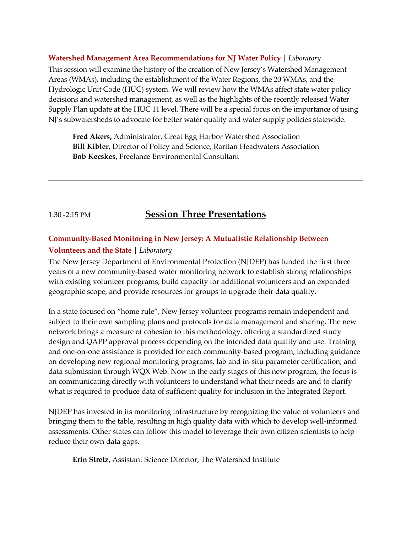#### **Watershed Management Area Recommendations for NJ Water Policy** | Laboratory

This session will examine the history of the creation of New Jersey's Watershed Management Areas (WMAs), including the establishment of the Water Regions, the 20 WMAs, and the Hydrologic Unit Code (HUC) system. We will review how the WMAs affect state water policy decisions and watershed management, as well as the highlights of the recently released Water Supply Plan update at the HUC 11 level. There will be a special focus on the importance of using NJ's subwatersheds to advocate for better water quality and water supply policies statewide.

**Fred Akers,** Administrator, Great Egg Harbor Watershed Association **Bill Kibler,** Director of Policy and Science, Raritan Headwaters Association **Bob Kecskes,** Freelance Environmental Consultant

## 1:30 -2:15 PM **Session Three Presentations**

# **Community-Based Monitoring in New Jersey: A Mutualistic Relationship Between Volunteers and the State** ⎸*Laboratory*

The New Jersey Department of Environmental Protection (NJDEP) has funded the first three years of a new community-based water monitoring network to establish strong relationships with existing volunteer programs, build capacity for additional volunteers and an expanded geographic scope, and provide resources for groups to upgrade their data quality.

In a state focused on "home rule", New Jersey volunteer programs remain independent and subject to their own sampling plans and protocols for data management and sharing. The new network brings a measure of cohesion to this methodology, offering a standardized study design and QAPP approval process depending on the intended data quality and use. Training and one-on-one assistance is provided for each community-based program, including guidance on developing new regional monitoring programs, lab and in-situ parameter certification, and data submission through WQX Web. Now in the early stages of this new program, the focus is on communicating directly with volunteers to understand what their needs are and to clarify what is required to produce data of sufficient quality for inclusion in the Integrated Report.

NJDEP has invested in its monitoring infrastructure by recognizing the value of volunteers and bringing them to the table, resulting in high quality data with which to develop well-informed assessments. Other states can follow this model to leverage their own citizen scientists to help reduce their own data gaps.

**Erin Stretz,** Assistant Science Director, The Watershed Institute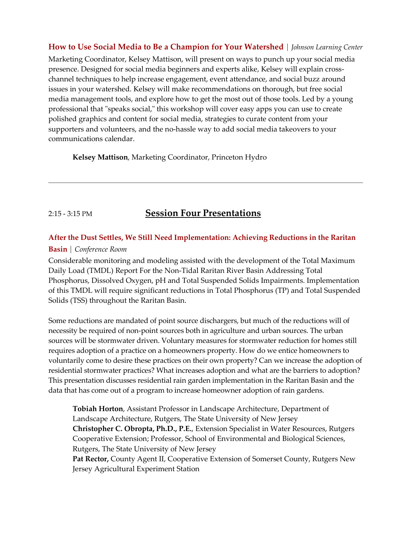**How to Use Social Media to Be a Champion for Your Watershed** | *Johnson Learning Center* Marketing Coordinator, Kelsey Mattison, will present on ways to punch up your social media presence. Designed for social media beginners and experts alike, Kelsey will explain crosschannel techniques to help increase engagement, event attendance, and social buzz around issues in your watershed. Kelsey will make recommendations on thorough, but free social media management tools, and explore how to get the most out of those tools. Led by a young professional that "speaks social," this workshop will cover easy apps you can use to create polished graphics and content for social media, strategies to curate content from your supporters and volunteers, and the no-hassle way to add social media takeovers to your communications calendar.

**Kelsey Mattison**, Marketing Coordinator, Princeton Hydro

## 2:15 - 3:15 PM **Session Four Presentations**

#### **After the Dust Settles, We Still Need Implementation: Achieving Reductions in the Raritan**

#### **Basin** | Conference Room

Considerable monitoring and modeling assisted with the development of the Total Maximum Daily Load (TMDL) Report For the Non-Tidal Raritan River Basin Addressing Total Phosphorus, Dissolved Oxygen, pH and Total Suspended Solids Impairments. Implementation of this TMDL will require significant reductions in Total Phosphorus (TP) and Total Suspended Solids (TSS) throughout the Raritan Basin.

Some reductions are mandated of point source dischargers, but much of the reductions will of necessity be required of non-point sources both in agriculture and urban sources. The urban sources will be stormwater driven. Voluntary measures for stormwater reduction for homes still requires adoption of a practice on a homeowners property. How do we entice homeowners to voluntarily come to desire these practices on their own property? Can we increase the adoption of residential stormwater practices? What increases adoption and what are the barriers to adoption? This presentation discusses residential rain garden implementation in the Raritan Basin and the data that has come out of a program to increase homeowner adoption of rain gardens.

**Tobiah Horton**, Assistant Professor in Landscape Architecture, Department of Landscape Architecture, Rutgers, The State University of New Jersey **Christopher C. Obropta, Ph.D., P.E.**, Extension Specialist in Water Resources, Rutgers Cooperative Extension; Professor, School of Environmental and Biological Sciences, Rutgers, The State University of New Jersey **Pat Rector,** County Agent II, Cooperative Extension of Somerset County, Rutgers New Jersey Agricultural Experiment Station